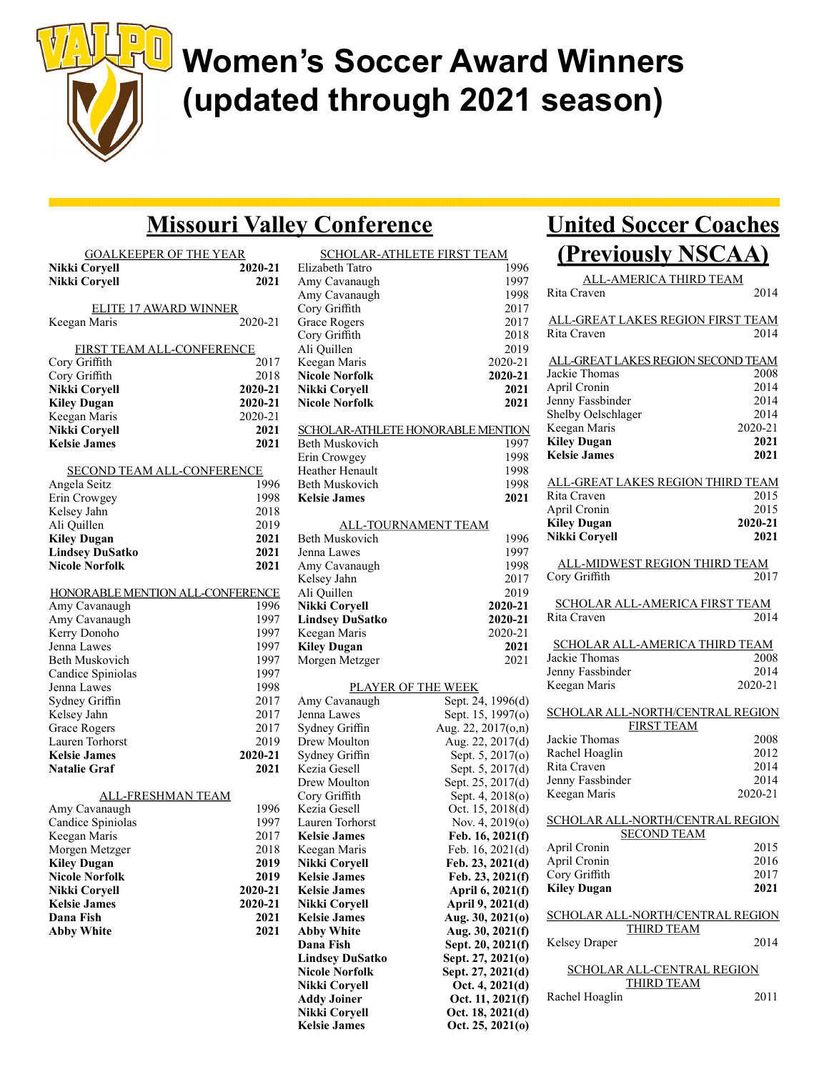

# Women's Soccer Award Winners (updated through 2021 season)

### Missouri Valley Conference

| <b>GOALKEEPER OF THE YEAR</b><br>Nikki Coryell<br>Nikki Corvell | 2020-21<br>2021 |
|-----------------------------------------------------------------|-----------------|
| <b>ELITE 17 AWARD WINNER</b><br>Keegan Maris                    | 2020-21         |
|                                                                 |                 |
| FIRST TEAM ALL-CONFERENCE                                       |                 |
| Cory Griffith                                                   | 2017            |
| Cory Griffith                                                   | 2018            |
| Nikki Coryell                                                   | 2020-21         |
| <b>Kiley Dugan</b>                                              | 2020-21         |
| Keegan Maris                                                    | 2020-21         |
| Nikki Coryell                                                   | 2021            |
| <b>Kelsie James</b>                                             | 2021            |
| <b>SECOND TEAM ALL-CONFERENCE</b>                               |                 |
| Angela Seitz                                                    | 1996            |
| Erin Crowgey                                                    | 1998            |
| Kelsey Jahn                                                     | 2018            |
| Ali Quillen                                                     | 2019            |
| <b>Kiley Dugan</b>                                              | 2021            |
| <b>Lindsey DuSatko</b>                                          | 2021            |
| <b>Nicole Norfolk</b>                                           | 2021            |
|                                                                 |                 |
| HONORABLE MENTION ALL-CONFERENCE                                |                 |
| Amy Cavanaugh                                                   | 1996            |
| Amy Cavanaugh                                                   | 1997            |
| Kerry Donoho                                                    | 1997            |
| Jenna Lawes                                                     | 1997            |
| Beth Muskovich                                                  | 1997            |
| Candice Spiniolas                                               | 1997            |
| Jenna Lawes                                                     | 1998            |
| Sydney Griffin                                                  | 2017            |
| Kelsey Jahn                                                     | 2017            |
| Grace Rogers                                                    | 2017<br>2019    |
| Lauren Torhorst<br><b>Kelsie James</b>                          | 2020-21         |
| <b>Natalie Graf</b>                                             | 2021            |
|                                                                 |                 |
| <b>ALL-FRESHMAN TEAM</b>                                        |                 |
| Amy Cavanaugh                                                   | 1996            |
| Candice Spiniolas                                               | 1997            |
| Keegan Maris                                                    | 2017            |
| Morgen Metzger                                                  | 2018            |
| <b>Kiley Dugan</b>                                              | 2019            |
| <b>Nicole Norfolk</b>                                           | 2019            |
| Nikki Coryell                                                   | 2020-21         |
| <b>Kelsie James</b>                                             | 2020-21         |
| Dana Fish                                                       | 2021            |
| <b>Abby White</b>                                               | 2021            |
|                                                                 |                 |
|                                                                 |                 |
|                                                                 |                 |

| <u>SCHOLAR-ATHLETE FIRST TEAM</u>        |                                      |
|------------------------------------------|--------------------------------------|
| Elizabeth Tatro                          | 1996                                 |
| Amy Cavanaugh                            | 1997                                 |
| Amy Cavanaugh                            | 1998                                 |
| Cory Griffith                            | 2017                                 |
| Grace Rogers                             | 2017                                 |
| Cory Griffith                            | 2018                                 |
| Ali Quillen                              | 2019                                 |
| Keegan Maris                             | 2020-21                              |
| <b>Nicole Norfolk</b>                    | 2020-21                              |
| Nikki Corvell                            | 2021                                 |
| <b>Nicole Norfolk</b>                    | 2021                                 |
|                                          |                                      |
| <b>SCHOLAR-ATHLETE HONORABLE MENTION</b> |                                      |
| Beth Muskovich                           | 1997                                 |
| Erin Crowgey                             | 1998                                 |
| Heather Henault                          | 1998                                 |
| Beth Muskovich                           | 1998                                 |
| <b>Kelsie James</b>                      | 2021                                 |
|                                          |                                      |
| <b>ALL-TOURNAMENT TEAM</b>               |                                      |
| Beth Muskovich                           | 1996                                 |
| Jenna Lawes                              | 1997                                 |
|                                          |                                      |
| Amy Cavanaugh                            | 1998                                 |
| Kelsey Jahn                              | 2017                                 |
| Ali Quillen                              | 2019                                 |
| Nikki Coryell                            | 2020-21                              |
| <b>Lindsey DuSatko</b>                   | 2020-21                              |
| Keegan Maris                             | 2020-21                              |
|                                          |                                      |
| <b>Kiley Dugan</b>                       | 2021                                 |
| Morgen Metzger                           | 2021                                 |
|                                          |                                      |
| PLAYER OF THE WEEK                       |                                      |
| Amy Cavanaugh                            | Sept. 24, 1996(d)                    |
| Jenna Lawes                              | Sept. 15, 1997(o)                    |
| Sydney Griffin                           | Aug. 22, 2017(o,n)                   |
| Drew Moulton                             | Aug. 22, 2017(d)                     |
| Sydney Griffin                           | Sept. 5, 2017(o)                     |
| Kezia Gesell                             | Sept. 5, 2017(d)                     |
| Drew Moulton                             |                                      |
|                                          | Sept. 25, 2017(d)                    |
| Cory Griffith<br>Kezia Gesell            | Sept. 4, 2018(o)                     |
| Lauren Torhorst                          | Oct. 15, 2018(d)                     |
|                                          | Nov. 4, 2019(o)                      |
| <b>Kelsie James</b>                      | Feb. 16, 2021(f)                     |
| Keegan Maris                             | Feb. 16, 2021(d)                     |
| Nikki Coryell                            | Feb. 23, 2021(d)                     |
| <b>Kelsie James</b>                      | Feb. 23, 2021(f)                     |
| <b>Kelsie James</b>                      | April 6, 2021(f)                     |
| Nikki Coryell                            | April 9, 2021(d)                     |
| <b>Kelsie James</b>                      | Aug. 30, 2021(0)                     |
| <b>Abby White</b>                        | Aug. 30, 2021(f)                     |
| Dana Fish                                | Sept. 20, 2021(f)                    |
| <b>Lindsey DuSatko</b>                   | Sept. 27, 2021(0)                    |
| <b>Nicole Norfolk</b>                    | Sept. 27, 2021(d)                    |
| <b>Nikki Coryell</b>                     | Oct. 4, 2021(d)                      |
| <b>Addy Joiner</b>                       | Oct. 11, 2021(f)                     |
| Nikki Coryell<br><b>Kelsie James</b>     | Oct. 18, 2021(d)<br>Oct. 25, 2021(0) |

### United Soccer Coaches (Previously NSCAA)

| ALL-AMERICA THIRD TEAM                   |         |
|------------------------------------------|---------|
| Rita Craven                              | 2014    |
| <u>ALL-GREAT LAKES REGION FIRST TEAM</u> |         |
| Rita Craven                              | 2014    |
|                                          |         |
| ALL-GREAT LAKES REGION SECOND TEAM       |         |
| Jackie Thomas                            | 2008    |
| April Cronin                             | 2014    |
| Jenny Fassbinder                         | 2014    |
| Shelby Oelschlager                       | 2014    |
| Keegan Maris                             | 2020-21 |
| <b>Kiley Dugan</b>                       | 2021    |
| <b>Kelsie James</b>                      | 2021    |
|                                          |         |
| <u>ALL-GREAT LAKES REGION THIRD TEAM</u> |         |
| Rita Craven                              | 2015    |
| April Cronin                             | 2015    |
| <b>Kiley Dugan</b>                       | 2020-21 |
| <b>Nikki Coryell</b>                     | 2021    |
|                                          |         |
| <b>ALL-MIDWEST REGION THIRD TEAM</b>     |         |
| Cory Griffith                            | 2017    |
|                                          |         |
| <b>SCHOLAR ALL-AMERICA FIRST TEAM</b>    |         |
| Rita Craven                              | 2014    |
| SCHOLAR ALL-AMERICA THIRD TEAM           |         |
| Jackie Thomas                            | 2008    |
| Jenny Fassbinder                         | 2014    |
| Keegan Maris                             | 2020-21 |
|                                          |         |
| SCHOLAR ALL-NORTH/CENTRAL REGION         |         |
| <b>FIRST TEAM</b>                        |         |
| Jackie Thomas                            | 2008    |
| Rachel Hoaglin                           | 2012    |
| Rita Craven                              | 2014    |
| Jenny Fassbinder                         | 2014    |
| Keegan Maris                             | 2020-21 |
|                                          |         |
| <b>SCHOLAR ALL-NORTH/CENTRAL REGION</b>  |         |
| <b>SECOND TEAM</b>                       |         |
| April Cronin                             | 2015    |
| April Cronin                             | 2016    |
| Cory Griffith                            | 2017    |
| <b>Kiley Dugan</b>                       | 2021    |
|                                          |         |
| SCHOLAR ALL-NORTH/CENTRAL REGION         |         |
| THIRD TEAM                               |         |
| <b>Kelsey Draper</b>                     | 2014    |
|                                          |         |
| SCHOLAR ALL-CENTRAL REGION               |         |
| <b>THIRD TEAM</b><br>Rachel Hoaglin      | 2011    |
|                                          |         |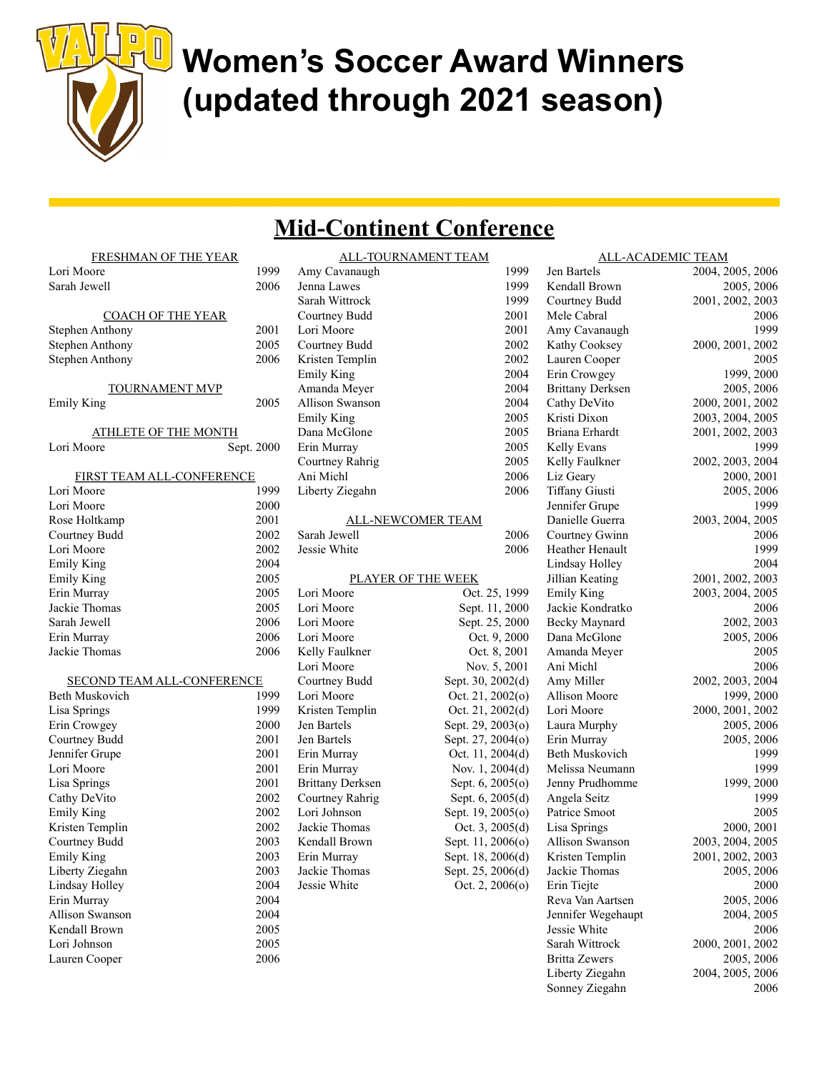

## Women's Soccer Award Winners (updated through 2021 season)

#### Mid-Continent Conference

| FRESHMAN OF THE YEAR        |            |                         | ALL-TOURNAMENT TEAM |
|-----------------------------|------------|-------------------------|---------------------|
| Lori Moore                  | 1999       | Amy Cavanaugh           | 1999                |
| Sarah Jewell                | 2006       | Jenna Lawes             | 1999                |
|                             |            | Sarah Wittrock          | 1999                |
| <b>COACH OF THE YEAR</b>    |            | Courtney Budd           | 2001                |
| Stephen Anthony             | 2001       | Lori Moore              | 2001                |
| Stephen Anthony             | 2005       | Courtney Budd           | 2002                |
| <b>Stephen Anthony</b>      | 2006       | Kristen Templin         | 2002                |
|                             |            | <b>Emily King</b>       | 2004                |
| <b>TOURNAMENT MVP</b>       |            | Amanda Meyer            | 2004                |
| <b>Emily King</b>           | 2005       | <b>Allison Swanson</b>  | 2004                |
|                             |            | <b>Emily King</b>       | 2005                |
| <b>ATHLETE OF THE MONTH</b> |            | Dana McGlone            | 2005                |
| Lori Moore                  | Sept. 2000 | Erin Murray             | 2005                |
|                             |            | Courtney Rahrig         | 2005                |
| FIRST TEAM ALL-CONFERENCE   |            | Ani Michl               | 2006                |
| Lori Moore                  | 1999       | Liberty Ziegahn         | 2006                |
| Lori Moore                  | 2000       |                         |                     |
| Rose Holtkamp               | 2001       |                         | ALL-NEWCOMER TEAM   |
| Courtney Budd               | 2002       | Sarah Jewell            | 2006                |
| Lori Moore                  | 2002       | Jessie White            | 2006                |
| <b>Emily King</b>           | 2004       |                         |                     |
| <b>Emily King</b>           | 2005       |                         | PLAYER OF THE WEEK  |
| Erin Murray                 | 2005       | Lori Moore              | Oct. 25, 1999       |
| Jackie Thomas               | 2005       | Lori Moore              | Sept. 11, 2000      |
| Sarah Jewell                | 2006       | Lori Moore              | Sept. 25, 2000      |
| Erin Murray                 | 2006       | Lori Moore              | Oct. 9, 2000        |
| Jackie Thomas               | 2006       | Kelly Faulkner          | Oct. 8, 2001        |
|                             |            | Lori Moore              | Nov. 5, 2001        |
| SECOND TEAM ALL-CONFERENCE  |            | Courtney Budd           | Sept. 30, 2002(d)   |
| Beth Muskovich              | 1999       | Lori Moore              | Oct. 21, 2002(o)    |
| Lisa Springs                | 1999       | Kristen Templin         | Oct. 21, 2002(d)    |
| Erin Crowgey                | 2000       | Jen Bartels             | Sept. 29, 2003(o)   |
| Courtney Budd               | 2001       | Jen Bartels             | Sept. 27, 2004(o)   |
| Jennifer Grupe              | 2001       | Erin Murray             | Oct. 11, 2004(d)    |
| Lori Moore                  | 2001       | Erin Murray             | Nov. 1, 2004(d)     |
| Lisa Springs                | 2001       | <b>Brittany Derksen</b> | Sept. 6, 2005(o)    |
| Cathy DeVito                | 2002       | Courtney Rahrig         | Sept. 6, 2005(d)    |
| <b>Emily King</b>           | 2002       | Lori Johnson            | Sept. 19, 2005(o)   |
| Kristen Templin             | 2002       | Jackie Thomas           | Oct. 3, 2005(d)     |
| Courtney Budd               | 2003       | Kendall Brown           | Sept. 11, 2006(o)   |
| <b>Emily King</b>           | 2003       | Erin Murray             | Sept. 18, 2006(d)   |
| Liberty Ziegahn             | 2003       | Jackie Thomas           | Sept. 25, 2006(d)   |
| Lindsay Holley              | 2004       | Jessie White            | Oct. 2, 2006(o)     |
| Erin Murray                 | 2004       |                         |                     |
| Allison Swanson             | 2004       |                         |                     |
| Kendall Brown               | 2005       |                         |                     |
| Lori Johnson                | 2005       |                         |                     |
| Lauren Cooper               | 2006       |                         |                     |

| <u>MENT TEAM</u>  | <u>ALL-ACADEMIC TEAM</u> |                  |
|-------------------|--------------------------|------------------|
| 1999              | Jen Bartels              | 2004, 2005, 2006 |
| 1999              | Kendall Brown            | 2005, 2006       |
| 1999              | Courtney Budd            | 2001, 2002, 2003 |
| 2001              | Mele Cabral              | 2006             |
| 2001              | Amy Cavanaugh            | 1999             |
| 2002              | Kathy Cooksey            | 2000, 2001, 2002 |
| 2002              | Lauren Cooper            | 2005             |
| 2004              | Erin Crowgey             | 1999, 2000       |
| 2004              | <b>Brittany Derksen</b>  | 2005, 2006       |
| 2004              | Cathy DeVito             | 2000, 2001, 2002 |
| 2005              | Kristi Dixon             | 2003, 2004, 2005 |
| 2005              | Briana Erhardt           | 2001, 2002, 2003 |
| 2005              | Kelly Evans              | 1999             |
| 2005              | Kelly Faulkner           | 2002, 2003, 2004 |
| 2006              | Liz Geary                | 2000, 2001       |
| 2006              | Tiffany Giusti           | 2005, 2006       |
|                   | Jennifer Grupe           | 1999             |
| <u>MER TEAM</u>   | Danielle Guerra          | 2003, 2004, 2005 |
| 2006              | Courtney Gwinn           | 2006             |
| 2006              | Heather Henault          | 1999             |
|                   | Lindsay Holley           | 2004             |
| THE WEEK          | Jillian Keating          | 2001, 2002, 2003 |
| Oct. 25, 1999     | Emily King               | 2003, 2004, 2005 |
| Sept. 11, 2000    | Jackie Kondratko         | 2006             |
| Sept. 25, 2000    | Becky Maynard            | 2002, 2003       |
| Oct. 9, 2000      | Dana McGlone             | 2005, 2006       |
| Oct. 8, 2001      | Amanda Meyer             | 2005             |
| Nov. 5, 2001      | Ani Michl                | 2006             |
| Sept. 30, 2002(d) | Amy Miller               | 2002, 2003, 2004 |
| Oct. 21, 2002(o)  | <b>Allison Moore</b>     | 1999, 2000       |
| Oct. 21, 2002(d)  | Lori Moore               | 2000, 2001, 2002 |
| Sept. 29, 2003(o) | Laura Murphy             | 2005, 2006       |
| Sept. 27, 2004(o) | Erin Murray              | 2005, 2006       |
| Oct. 11, 2004(d)  | Beth Muskovich           | 1999             |
| Nov. $1, 2004(d)$ | Melissa Neumann          | 1999             |
| Sept. 6, 2005(o)  | Jenny Prudhomme          | 1999, 2000       |
| Sept. 6, 2005(d)  | Angela Seitz             | 1999             |
| Sept. 19, 2005(o) | Patrice Smoot            | 2005             |
| Oct. 3, 2005(d)   | Lisa Springs             | 2000, 2001       |
| Sept. 11, 2006(o) | Allison Swanson          | 2003, 2004, 2005 |
| Sept. 18, 2006(d) | Kristen Templin          | 2001, 2002, 2003 |
| Sept. 25, 2006(d) | Jackie Thomas            | 2005, 2006       |
| Oct. 2, 2006(o)   | Erin Tiejte              | 2000             |
|                   | Reva Van Aartsen         | 2005, 2006       |
|                   | Jennifer Wegehaupt       | 2004, 2005       |
|                   | Jessie White             | 2006             |
|                   | Sarah Wittrock           | 2000, 2001, 2002 |
|                   | <b>Britta Zewers</b>     | 2005, 2006       |
|                   | Liberty Ziegahn          | 2004, 2005, 2006 |

Sonney Ziegahn 2006